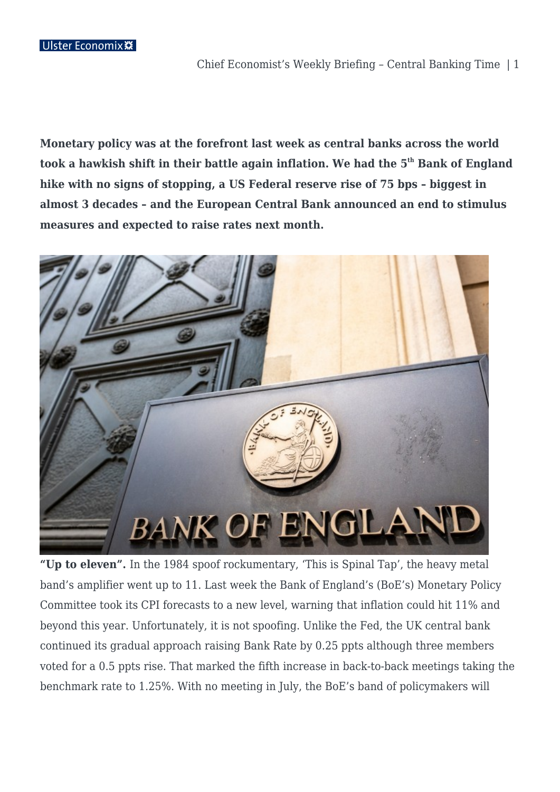**Monetary policy was at the forefront last week as central banks across the world took a hawkish shift in their battle again inflation. We had the 5th Bank of England hike with no signs of stopping, a US Federal reserve rise of 75 bps – biggest in almost 3 decades – and the European Central Bank announced an end to stimulus measures and expected to raise rates next month.**



**"Up to eleven".** In the 1984 spoof rockumentary, 'This is Spinal Tap', the heavy metal band's amplifier went up to 11. Last week the Bank of England's (BoE's) Monetary Policy Committee took its CPI forecasts to a new level, warning that inflation could hit 11% and beyond this year. Unfortunately, it is not spoofing. Unlike the Fed, the UK central bank continued its gradual approach raising Bank Rate by 0.25 ppts although three members voted for a 0.5 ppts rise. That marked the fifth increase in back-to-back meetings taking the benchmark rate to 1.25%. With no meeting in July, the BoE's band of policymakers will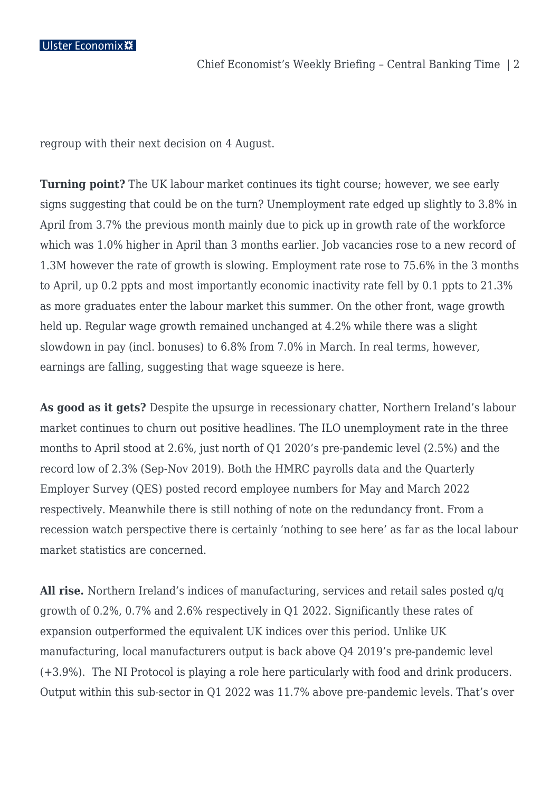regroup with their next decision on 4 August.

**Turning point?** The UK labour market continues its tight course; however, we see early signs suggesting that could be on the turn? Unemployment rate edged up slightly to 3.8% in April from 3.7% the previous month mainly due to pick up in growth rate of the workforce which was 1.0% higher in April than 3 months earlier. Job vacancies rose to a new record of 1.3M however the rate of growth is slowing. Employment rate rose to 75.6% in the 3 months to April, up 0.2 ppts and most importantly economic inactivity rate fell by 0.1 ppts to 21.3% as more graduates enter the labour market this summer. On the other front, wage growth held up. Regular wage growth remained unchanged at 4.2% while there was a slight slowdown in pay (incl. bonuses) to 6.8% from 7.0% in March. In real terms, however, earnings are falling, suggesting that wage squeeze is here.

**As good as it gets?** Despite the upsurge in recessionary chatter, Northern Ireland's labour market continues to churn out positive headlines. The ILO unemployment rate in the three months to April stood at 2.6%, just north of Q1 2020's pre-pandemic level (2.5%) and the record low of 2.3% (Sep-Nov 2019). Both the HMRC payrolls data and the Quarterly Employer Survey (QES) posted record employee numbers for May and March 2022 respectively. Meanwhile there is still nothing of note on the redundancy front. From a recession watch perspective there is certainly 'nothing to see here' as far as the local labour market statistics are concerned.

**All rise.** Northern Ireland's indices of manufacturing, services and retail sales posted q/q growth of 0.2%, 0.7% and 2.6% respectively in Q1 2022. Significantly these rates of expansion outperformed the equivalent UK indices over this period. Unlike UK manufacturing, local manufacturers output is back above Q4 2019's pre-pandemic level (+3.9%). The NI Protocol is playing a role here particularly with food and drink producers. Output within this sub-sector in Q1 2022 was 11.7% above pre-pandemic levels. That's over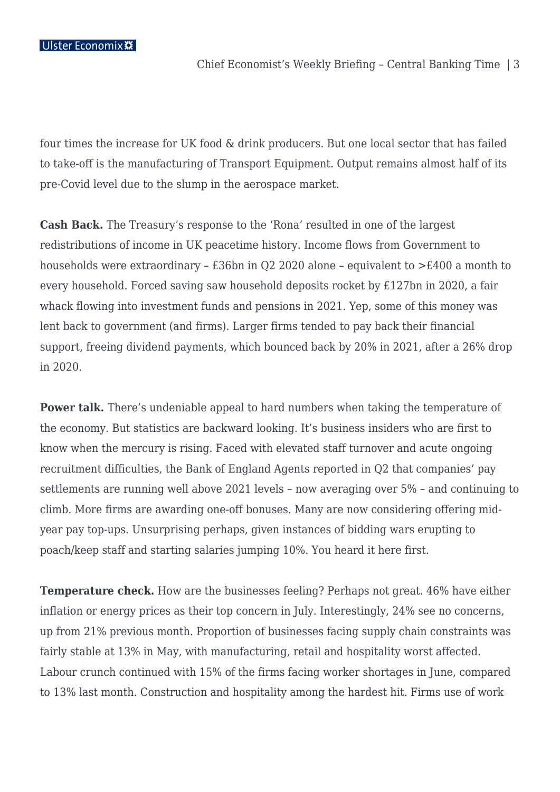four times the increase for UK food & drink producers. But one local sector that has failed to take-off is the manufacturing of Transport Equipment. Output remains almost half of its pre-Covid level due to the slump in the aerospace market.

**Cash Back.** The Treasury's response to the 'Rona' resulted in one of the largest redistributions of income in UK peacetime history. Income flows from Government to households were extraordinary – £36bn in Q2 2020 alone – equivalent to >£400 a month to every household. Forced saving saw household deposits rocket by £127bn in 2020, a fair whack flowing into investment funds and pensions in 2021. Yep, some of this money was lent back to government (and firms). Larger firms tended to pay back their financial support, freeing dividend payments, which bounced back by 20% in 2021, after a 26% drop in 2020.

**Power talk.** There's undeniable appeal to hard numbers when taking the temperature of the economy. But statistics are backward looking. It's business insiders who are first to know when the mercury is rising. Faced with elevated staff turnover and acute ongoing recruitment difficulties, the Bank of England Agents reported in Q2 that companies' pay settlements are running well above 2021 levels – now averaging over 5% – and continuing to climb. More firms are awarding one-off bonuses. Many are now considering offering midyear pay top-ups. Unsurprising perhaps, given instances of bidding wars erupting to poach/keep staff and starting salaries jumping 10%. You heard it here first.

**Temperature check.** How are the businesses feeling? Perhaps not great. 46% have either inflation or energy prices as their top concern in July. Interestingly, 24% see no concerns, up from 21% previous month. Proportion of businesses facing supply chain constraints was fairly stable at 13% in May, with manufacturing, retail and hospitality worst affected. Labour crunch continued with 15% of the firms facing worker shortages in June, compared to 13% last month. Construction and hospitality among the hardest hit. Firms use of work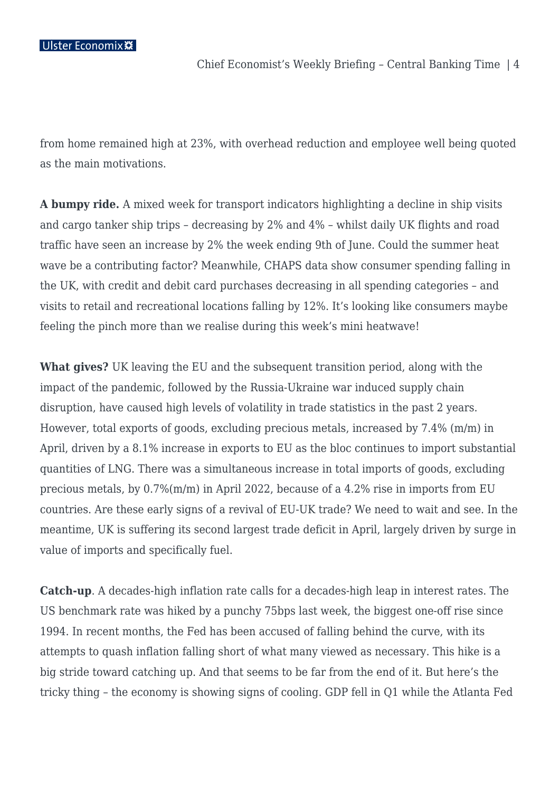from home remained high at 23%, with overhead reduction and employee well being quoted as the main motivations.

**A bumpy ride.** A mixed week for transport indicators highlighting a decline in ship visits and cargo tanker ship trips – decreasing by 2% and 4% – whilst daily UK flights and road traffic have seen an increase by 2% the week ending 9th of June. Could the summer heat wave be a contributing factor? Meanwhile, CHAPS data show consumer spending falling in the UK, with credit and debit card purchases decreasing in all spending categories – and visits to retail and recreational locations falling by 12%. It's looking like consumers maybe feeling the pinch more than we realise during this week's mini heatwave!

**What gives?** UK leaving the EU and the subsequent transition period, along with the impact of the pandemic, followed by the Russia-Ukraine war induced supply chain disruption, have caused high levels of volatility in trade statistics in the past 2 years. However, total exports of goods, excluding precious metals, increased by 7.4% (m/m) in April, driven by a 8.1% increase in exports to EU as the bloc continues to import substantial quantities of LNG. There was a simultaneous increase in total imports of goods, excluding precious metals, by 0.7%(m/m) in April 2022, because of a 4.2% rise in imports from EU countries. Are these early signs of a revival of EU-UK trade? We need to wait and see. In the meantime, UK is suffering its second largest trade deficit in April, largely driven by surge in value of imports and specifically fuel.

**Catch-up**. A decades-high inflation rate calls for a decades-high leap in interest rates. The US benchmark rate was hiked by a punchy 75bps last week, the biggest one-off rise since 1994. In recent months, the Fed has been accused of falling behind the curve, with its attempts to quash inflation falling short of what many viewed as necessary. This hike is a big stride toward catching up. And that seems to be far from the end of it. But here's the tricky thing – the economy is showing signs of cooling. GDP fell in Q1 while the Atlanta Fed